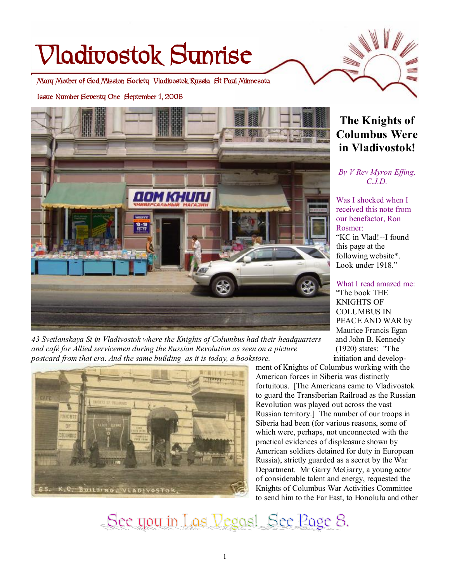# **Vladivostok Sunrise**

**Mary Mother of God Mission Society Vladivostok Russia St Paul Minnesota** 

**Issue Number Seventy One September 1, 2006** 



*43 Svetlanskaya St in Vladivostok where the Knights of Columbus had their headquarters* and John B. Kennedy *and café for Allied servicemen during the Russian Revolution as seen on a picture* (1920) states: "The *postcard from that era. And the same building as it is today, a bookstore.* initiation and develop-



**The Knights of Columbus Were in Vladivostok!** 

*By V Rev Myron Effing, C.J.D.* 

Was I shocked when I received this note from our benefactor, Ron Rosmer: "KC in Vlad!--I found this page at the following website\*. Look under 1918."

What I read amazed me: "The book THE KNIGHTS OF COLUMBUS IN PEACE AND WAR by Maurice Francis Egan

ment of Knights of Columbus working with the American forces in Siberia was distinctly fortuitous. [The Americans came to Vladivostok to guard the Transiberian Railroad as the Russian Revolution was played out across the vast Russian territory.] The number of our troops in Siberia had been (for various reasons, some of which were, perhaps, not unconnected with the practical evidences of displeasure shown by American soldiers detained for duty in European Russia), strictly guarded as a secret by the War Department. Mr Garry McGarry, a young actor of considerable talent and energy, requested the Knights of Columbus War Activities Committee to send him to the Far East, to Honolulu and other

See you in Los Vegos! See Poge 8.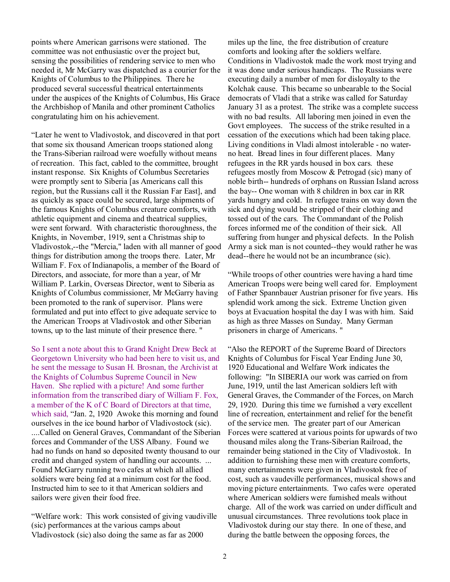points where American garrisons were stationed. The committee was not enthusiastic over the project but, sensing the possibilities of rendering service to men who needed it, Mr McGarry was dispatched as a courier for the Knights of Columbus to the Philippines. There he produced several successful theatrical entertainments under the auspices of the Knights of Columbus, His Grace the Archbishop of Manila and other prominent Catholics congratulating him on his achievement.

"Later he went to Vladivostok, and discovered in that port that some six thousand American troops stationed along the Trans-Siberian railroad were woefully without means of recreation. This fact, cabled to the committee, brought instant response. Six Knights of Columbus Secretaries were promptly sent to Siberia [as Americans call this region, but the Russians call it the Russian Far East], and as quickly as space could be secured, large shipments of the famous Knights of Columbus creature comforts, with athletic equipment and cinema and theatrical supplies, were sent forward. With characteristic thoroughness, the Knights, in November, 1919, sent a Christmas ship to Vladivostok,--the "Mercia," laden with all manner of good things for distribution among the troops there. Later, Mr William F. Fox of Indianapolis, a member of the Board of Directors, and associate, for more than a year, of Mr William P. Larkin, Overseas Director, went to Siberia as Knights of Columbus commissioner, Mr McGarry having been promoted to the rank of supervisor. Plans were formulated and put into effect to give adequate service to the American Troops at Vladivostok and other Siberian towns, up to the last minute of their presence there. "

So I sent a note about this to Grand Knight Drew Beck at Georgetown University who had been here to visit us, and he sent the message to Susan H. Brosnan, the Archivist at the Knights of Columbus Supreme Council in New Haven. She replied with a picture! And some further information from the transcribed diary of William F. Fox, a member of the K of C Board of Directors at that time, which said, "Jan. 2, 1920 Awoke this morning and found ourselves in the ice bound harbor of Vladivostock (sic). ....Called on General Graves, Commandant of the Siberian forces and Commander of the USS Albany. Found we had no funds on hand so deposited twenty thousand to our credit and changed system of handling our accounts. ... Found McGarry running two cafes at which all allied soldiers were being fed at a minimum cost for the food. Instructed him to see to it that American soldiers and sailors were given their food free.

"Welfare work: This work consisted of giving vaudiville (sic) performances at the various camps about Vladivostock (sic) also doing the same as far as 2000

miles up the line, the free distribution of creature comforts and looking after the soldiers welfare. Conditions in Vladivostok made the work most trying and it was done under serious handicaps. The Russians were executing daily a number of men for disloyalty to the Kolchak cause. This became so unbearable to the Social democrats of Vladi that a strike was called for Saturday January 31 as a protest. The strike was a complete success with no bad results. All laboring men joined in even the Govt employees. The success of the strike resulted in a cessation of the executions which had been taking place. Living conditions in Vladi almost intolerable - no waterno heat. Bread lines in four different places. Many refugees in the RR yards housed in box cars. these refugees mostly from Moscow & Petrogad (sic) many of noble birth-- hundreds of orphans on Russian Island across the bay-- One woman with 8 children in box car in RR yards hungry and cold. In refugee trains on way down the sick and dying would be stripped of their clothing and tossed out of the cars. The Commandant of the Polish forces informed me of the condition of their sick. All suffering from hunger and physical defects. In the Polish Army a sick man is not counted--they would rather he was dead--there he would not be an incumbrance (sic).

"While troops of other countries were having a hard time American Troops were being well cared for. Employment of Father Spannbauer Austrian prisoner for five years. His splendid work among the sick. Extreme Unction given boys at Evacuation hospital the day I was with him. Said as high as three Masses on Sunday. Many German prisoners in charge of Americans. "

"Also the REPORT of the Supreme Board of Directors Knights of Columbus for Fiscal Year Ending June 30, 1920 Educational and Welfare Work indicates the following: "In SIBERIA our work was carried on from June, 1919, until the last American soldiers left with General Graves, the Commander of the Forces, on March 29, 1920. During this time we furnished a very excellent line of recreation, entertainment and relief for the benefit of the service men. The greater part of our American Forces were scattered at various points for upwards of two thousand miles along the Trans-Siberian Railroad, the remainder being stationed in the City of Vladivostok. In addition to furnishing these men with creature comforts, many entertainments were given in Vladivostok free of cost, such as vaudeville performances, musical shows and moving picture entertainments. Two cafes were operated where American soldiers were furnished meals without charge. All of the work was carried on under difficult and unusual circumstances. Three revolutions took place in Vladivostok during our stay there. In one of these, and during the battle between the opposing forces, the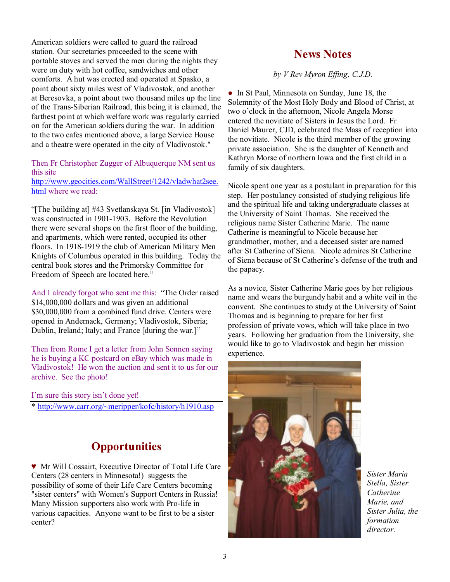American soldiers were called to guard the railroad station. Our secretaries proceeded to the scene with portable stoves and served the men during the nights they were on duty with hot coffee, sandwiches and other comforts. A hut was erected and operated at Spasko, a point about sixty miles west of Vladivostok, and another at Beresovka, a point about two thousand miles up the line of the Trans-Siberian Railroad, this being it is claimed, the farthest point at which welfare work was regularly carried on for the American soldiers during the war. In addition to the two cafes mentioned above, a large Service House and a theatre were operated in the city of Vladivostok."

Then Fr Christopher Zugger of Albuquerque NM sent us this site

<http://www.geocities.com/WallStreet/1242/vladwhat2see>. html where we read:

"[The building at] #43 Svetlanskaya St. [in Vladivostok] was constructed in 1901-1903. Before the Revolution there were several shops on the first floor of the building, and apartments, which were rented, occupied its other floors. In 1918-1919 the club of American Military Men Knights of Columbus operated in this building. Today the central book stores and the Primorsky Committee for Freedom of Speech are located here."

And I already forgot who sent me this: "The Order raised \$14,000,000 dollars and was given an additional \$30,000,000 from a combined fund drive. Centers were opened in Andernack, Germany; Vladivostok, Siberia; Dublin, Ireland; Italy; and France [during the war.]"

Then from Rome I get a letter from John Sonnen saying he is buying a KC postcard on eBay which was made in Vladivostok! He won the auction and sent it to us for our archive. See the photo!

I'm sure this story isn't done yet!

\*<http://www.carr.org/~meripper/kofc/history/h1910.asp>

# **Opportunities**

♥ Mr Will Cossairt, Executive Director of Total Life Care Centers (28 centers in Minnesota!) suggests the possibility of some of their Life Care Centers becoming "sister centers" with Women's Support Centers in Russia! Many Mission supporters also work with Pro-life in various capacities. Anyone want to be first to be a sister center?

### **News Notes**

*by V Rev Myron Effing, C.J.D.*

● In St Paul, Minnesota on Sunday, June 18, the Solemnity of the Most Holy Body and Blood of Christ, at two o'clock in the afternoon, Nicole Angela Morse entered the novitiate of Sisters in Jesus the Lord. Fr Daniel Maurer, CJD, celebrated the Mass of reception into the novitiate. Nicole is the third member of the growing private association. She is the daughter of Kenneth and Kathryn Morse of northern Iowa and the first child in a family of six daughters.

Nicole spent one year as a postulant in preparation for this step. Her postulancy consisted of studying religious life and the spiritual life and taking undergraduate classes at the University of Saint Thomas. She received the religious name Sister Catherine Marie. The name Catherine is meaningful to Nicole because her grandmother, mother, and a deceased sister are named after St Catherine of Siena. Nicole admires St Catherine of Siena because of St Catherine's defense of the truth and the papacy.

As a novice, Sister Catherine Marie goes by her religious name and wears the burgundy habit and a white veil in the convent. She continues to study at the University of Saint Thomas and is beginning to prepare for her first profession of private vows, which will take place in two years. Following her graduation from the University, she would like to go to Vladivostok and begin her mission experience.



*Sister Maria Stella, Sister Catherine Marie, and Sister Julia, the formation director.*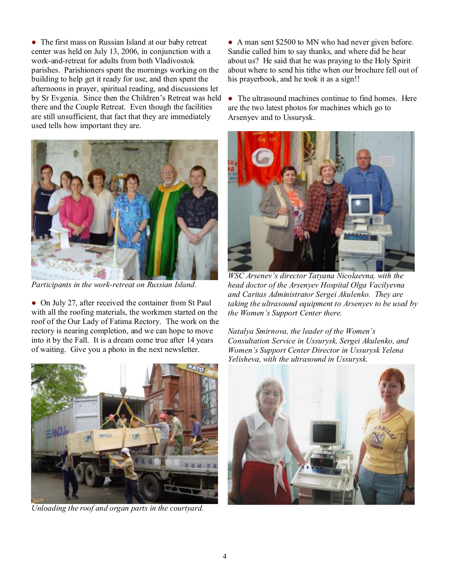• The first mass on Russian Island at our baby retreat center was held on July 13, 2006, in conjunction with a work-and-retreat for adults from both Vladivostok parishes. Parishioners spent the mornings working on the building to help get it ready for use, and then spent the afternoons in prayer, spiritual reading, and discussions let by Sr Evgenia. Since then the Children's Retreat was held there and the Couple Retreat. Even though the facilities are still unsufficient, that fact that they are immediately used tells how important they are.



*Participants in the work-retreat on Russian Island.* 

• On July 27, after received the container from St Paul with all the roofing materials, the workmen started on the roof of the Our Lady of Fatima Rectory. The work on the rectory is nearing completion, and we can hope to move into it by the Fall. It is a dream come true after 14 years of waiting. Give you a photo in the next newsletter.



*Unloading the roof and organ parts in the courtyard.*

• A man sent \$2500 to MN who had never given before. Sandie called him to say thanks, and where did he hear about us? He said that he was praying to the Holy Spirit about where to send his tithe when our brochure fell out of his prayerbook, and he took it as a sign!!

• The ultrasound machines continue to find homes. Here are the two latest photos for machines which go to Arsenyev and to Ussurysk.



*WSC Arsenev's director Tatyana Nicolaevna, with the head doctor of the Arsenyev Hospital Olga Vacilyevna and Caritas Administrator Sergei Akulenko. They are taking the ultrasound equipment to Arsenyev to be used by the Women's Support Center there.* 

*Natalya Smirnova, the leader of the Women's Consultation Service in Ussurysk, Sergei Akulenko, and Women's Support Center Director in Ussurysk Yelena Yelisheva, with the ultrasound in Ussurysk.* 

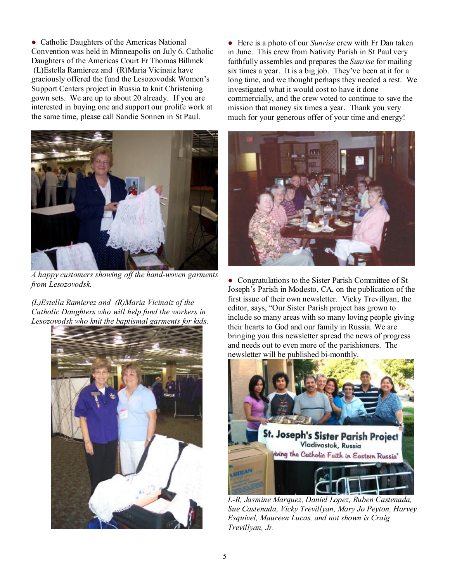• Catholic Daughters of the Americas National Convention was held in Minneapolis on July 6. Catholic Daughters of the Americas Court Fr Thomas Billmek (L)Estella Ramierez and (R)Maria Vicinaiz have graciously offered the fund the Lesozovodsk Women's Support Centers project in Russia to knit Christening gown sets. We are up to about 20 already. If you are interested in buying one and support our prolife work at the same time, please call Sandie Sonnen in St Paul.



*A happy customers showing off the hand-woven garments from Lesozovodsk.* 

*(L)Estella Ramierez and (R)Maria Vicinaiz of the Catholic Daughters who will help fund the workers in Lesozovodsk who knit the baptismal garments for kids.* 



● Here is a photo of our *Sunrise* crew with Fr Dan taken in June. This crew from Nativity Parish in St Paul very faithfully assembles and prepares the *Sunrise* for mailing six times a year. It is a big job. They've been at it for a long time, and we thought perhaps they needed a rest. We investigated what it would cost to have it done commercially, and the crew voted to continue to save the mission that money six times a year. Thank you very much for your generous offer of your time and energy!



• Congratulations to the Sister Parish Committee of St Joseph's Parish in Modesto, CA, on the publication of the first issue of their own newsletter. Vicky Trevillyan, the editor, says, "Our Sister Parish project has grown to include so many areas with so many loving people giving their hearts to God and our family in Russia. We are bringing you this newsletter spread the news of progress and needs out to even more of the parishioners. The newsletter will be published bi-monthly.



*L-R, Jasmine Marquez, Daniel Lopez, Ruben Castenada, Sue Castenada, Vicky Trevillyan, Mary Jo Peyton, Harvey Esquivel, Maureen Lucas, and not shown is Craig Trevillyan, Jr.*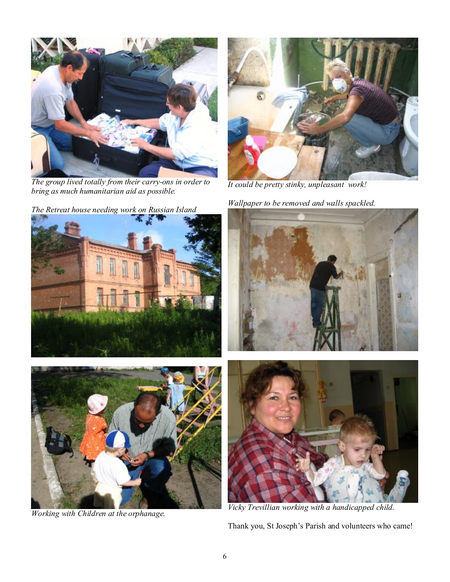

*The group lived totally from their carry-ons in order to bring as much humanitarian aid as possible.* 





*Working with Children at the orphanage.* 



*It could be pretty stinky, unpleasant work!* 

*Wallpaper to be removed and walls spackled.* 



*Vicky Trevillian working with a handicapped child.* 

Thank you, St Joseph's Parish and volunteers who came!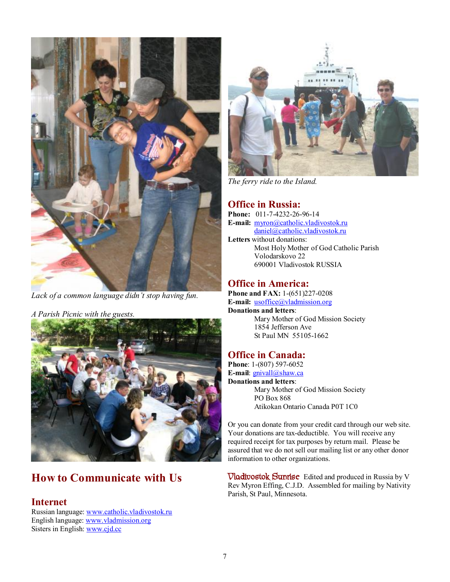

*Lack of a common language didn't stop having fun.* 

*A Parish Picnic with the guests.* 



# **How to Communicate with Us**

#### **Internet**

Russian language: [www.catholic.vladivostok.ru](http://www.catholic.vladivostok.ru) English language: [www.vladmission.org](http://www.vladmission.org) Sisters in English: [www.cjd.cc](http://www.cjd.cc)



*The ferry ride to the Island.* 

#### **Office in Russia:**

**Phone:** 011-7-4232-26-96-14 **E-mail:** [myron@catholic.vladivostok.ru](mailto:myron@catholic.vladivostok.ru) [daniel@catholic.vladivostok.ru](mailto:daniel@catholic.vladivostok.ru) **Letters** without donations: Most Holy Mother of God Catholic Parish Volodarskovo 22 690001 Vladivostok RUSSIA

## **Office in America:**

**Phone and FAX:** 1-(651)227-0208 **E-mail:** [usoffice@vladmission.org](mailto:usoffice@vladmission.org) **Donations and letters**:

Mary Mother of God Mission Society 1854 Jefferson Ave St Paul MN 55105-1662

#### **Office in Canada:**

**Phone**: 1-(807) 597-6052 **E-mail**: [gnivall@shaw.ca](mailto:gnivall@shaw.ca) **Donations and letters**: Mary Mother of God Mission Society PO Box 868 Atikokan Ontario Canada P0T 1C0

Or you can donate from your credit card through our web site. Your donations are tax-deductible. You will receive any required receipt for tax purposes by return mail. Please be assured that we do not sell our mailing list or any other donor information to other organizations.

**Vladivostok Sunrise** Edited and produced in Russia by V Rev Myron Effing, C.J.D. Assembled for mailing by Nativity Parish, St Paul, Minnesota.